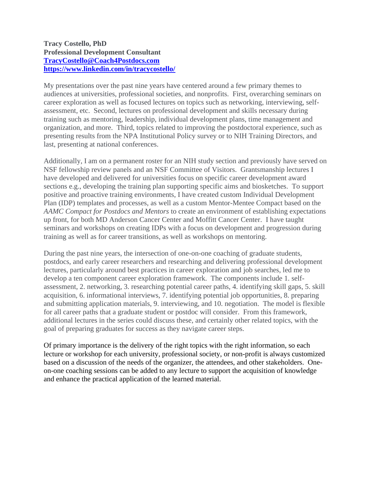## **Tracy Costello, PhD Professional Development Consultant [TracyCostello@Coach4Postdocs.com](mailto:TracyCostello@Coach4Postdocs.com) <https://www.linkedin.com/in/tracycostello/>**

My presentations over the past nine years have centered around a few primary themes to audiences at universities, professional societies, and nonprofits. First, overarching seminars on career exploration as well as focused lectures on topics such as networking, interviewing, selfassessment, etc. Second, lectures on professional development and skills necessary during training such as mentoring, leadership, individual development plans, time management and organization, and more. Third, topics related to improving the postdoctoral experience, such as presenting results from the NPA Institutional Policy survey or to NIH Training Directors, and last, presenting at national conferences.

Additionally, I am on a permanent roster for an NIH study section and previously have served on NSF fellowship review panels and an NSF Committee of Visitors. Grantsmanship lectures I have developed and delivered for universities focus on specific career development award sections e.g., developing the training plan supporting specific aims and biosketches. To support positive and proactive training environments, I have created custom Individual Development Plan (IDP) templates and processes, as well as a custom Mentor-Mentee Compact based on the *AAMC Compact for Postdocs and Mentors* to create an environment of establishing expectations up front, for both MD Anderson Cancer Center and Moffitt Cancer Center. I have taught seminars and workshops on creating IDPs with a focus on development and progression during training as well as for career transitions, as well as workshops on mentoring.

During the past nine years, the intersection of one-on-one coaching of graduate students, postdocs, and early career researchers and researching and delivering professional development lectures, particularly around best practices in career exploration and job searches, led me to develop a ten component career exploration framework. The components include 1. selfassessment, 2. networking, 3. researching potential career paths, 4. identifying skill gaps, 5. skill acquisition, 6. informational interviews, 7. identifying potential job opportunities, 8. preparing and submitting application materials, 9. interviewing, and 10. negotiation. The model is flexible for all career paths that a graduate student or postdoc will consider. From this framework, additional lectures in the series could discuss these, and certainly other related topics, with the goal of preparing graduates for success as they navigate career steps.

Of primary importance is the delivery of the right topics with the right information, so each lecture or workshop for each university, professional society, or non-profit is always customized based on a discussion of the needs of the organizer, the attendees, and other stakeholders. Oneon-one coaching sessions can be added to any lecture to support the acquisition of knowledge and enhance the practical application of the learned material.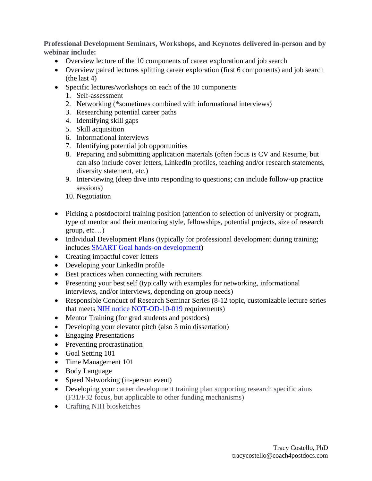**Professional Development Seminars, Workshops, and Keynotes delivered in-person and by webinar include:**

- Overview lecture of the 10 components of career exploration and job search
- Overview paired lectures splitting career exploration (first 6 components) and job search (the last 4)
- Specific lectures/workshops on each of the 10 components
	- 1. Self-assessment
	- 2. Networking (\*sometimes combined with informational interviews)
	- 3. Researching potential career paths
	- 4. Identifying skill gaps
	- 5. Skill acquisition
	- 6. Informational interviews
	- 7. Identifying potential job opportunities
	- 8. Preparing and submitting application materials (often focus is CV and Resume, but can also include cover letters, LinkedIn profiles, teaching and/or research statements, diversity statement, etc.)
	- 9. Interviewing (deep dive into responding to questions; can include follow-up practice sessions)
	- 10. Negotiation
- Picking a postdoctoral training position (attention to selection of university or program, type of mentor and their mentoring style, fellowships, potential projects, size of research group, etc…)
- Individual Development Plans (typically for professional development during training; includes [SMART Goal hands-on development\)](https://download-files.wixmp.com/ugd/936314_48709e7ce6ae42208b1cf31dbacb7950.pdf?token=eyJhbGciOiJIUzI1NiIsInR5cCI6IkpXVCJ9.eyJpc3MiOiJ1cm46YXBwOmU2NjYzMGU3MTRmMDQ5MGFhZWExZjE0OWIzYjY5ZTMyIiwic3ViIjoidXJuOmFwcDplNjY2MzBlNzE0ZjA0OTBhYWVhMWYxNDliM2I2OWUzMiIsImF1ZCI6WyJ1cm46c2VydmljZTpmaWxlLmRvd25sb2FkIl0sImlhdCI6MTYwOTk5OTQ0MiwiZXhwIjoxNjEwMDM1NDUyLCJqdGkiOiI1ZTA2OThiNWU0M2UiLCJvYmoiOltbeyJwYXRoIjoiL3VnZC85MzYzMTRfNDg3MDllN2NlNmFlNDIyMDhiMWNmMzFkYmFjYjc5NTAucGRmIn1dXX0.XhLSGaWoX-qUUYQadW_BvC_E54S4_TiKb13FOyLqceA&filename=SMART+Goals+Info+and+Worksheet.pdf)
- Creating impactful cover letters
- Developing your LinkedIn profile
- Best practices when connecting with recruiters
- Presenting your best self (typically with examples for networking, informational interviews, and/or interviews, depending on group needs)
- Responsible Conduct of Research Seminar Series (8-12 topic, customizable lecture series that meets [NIH notice NOT-OD-10-019](https://grants.nih.gov/grants/guide/notice-files/not-od-10-019.html) requirements)
- Mentor Training (for grad students and postdocs)
- Developing your elevator pitch (also 3 min dissertation)
- Engaging Presentations
- Preventing procrastination
- Goal Setting 101
- Time Management 101
- Body Language
- Speed Networking (in-person event)
- Developing your career development training plan supporting research specific aims (F31/F32 focus, but applicable to other funding mechanisms)
- Crafting NIH biosketches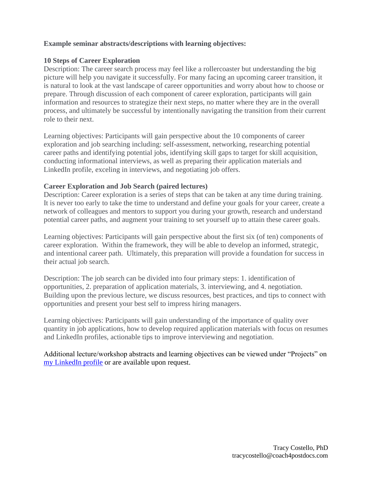# **Example seminar abstracts/descriptions with learning objectives:**

## **10 Steps of Career Exploration**

Description: The career search process may feel like a rollercoaster but understanding the big picture will help you navigate it successfully. For many facing an upcoming career transition, it is natural to look at the vast landscape of career opportunities and worry about how to choose or prepare. Through discussion of each component of career exploration, participants will gain information and resources to strategize their next steps, no matter where they are in the overall process, and ultimately be successful by intentionally navigating the transition from their current role to their next.

Learning objectives: Participants will gain perspective about the 10 components of career exploration and job searching including: self-assessment, networking, researching potential career paths and identifying potential jobs, identifying skill gaps to target for skill acquisition, conducting informational interviews, as well as preparing their application materials and LinkedIn profile, exceling in interviews, and negotiating job offers.

### **Career Exploration and Job Search (paired lectures)**

Description: Career exploration is a series of steps that can be taken at any time during training. It is never too early to take the time to understand and define your goals for your career, create a network of colleagues and mentors to support you during your growth, research and understand potential career paths, and augment your training to set yourself up to attain these career goals.

Learning objectives: Participants will gain perspective about the first six (of ten) components of career exploration. Within the framework, they will be able to develop an informed, strategic, and intentional career path. Ultimately, this preparation will provide a foundation for success in their actual job search.

Description: The job search can be divided into four primary steps: 1. identification of opportunities, 2. preparation of application materials, 3. interviewing, and 4. negotiation. Building upon the previous lecture, we discuss resources, best practices, and tips to connect with opportunities and present your best self to impress hiring managers.

Learning objectives: Participants will gain understanding of the importance of quality over quantity in job applications, how to develop required application materials with focus on resumes and LinkedIn profiles, actionable tips to improve interviewing and negotiation.

Additional lecture/workshop abstracts and learning objectives can be viewed under "Projects" on [my LinkedIn profile](https://www.linkedin.com/in/tracycostello/) or are available upon request.